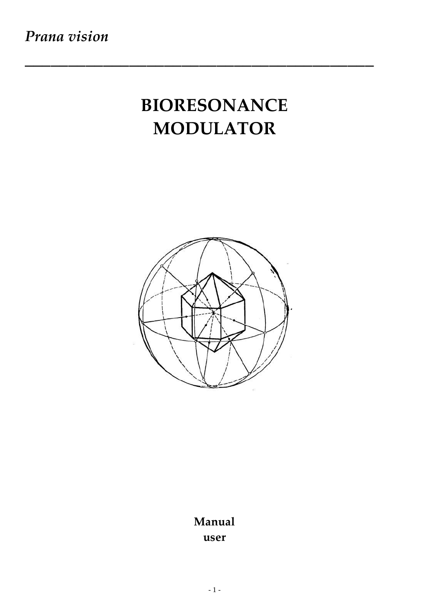# **BIORESONANCE MODULATOR**

\_\_\_\_\_\_\_\_\_\_\_\_\_\_\_\_\_\_\_\_\_\_\_\_\_\_\_\_\_\_\_\_\_\_\_\_\_\_\_\_



# **Manual user**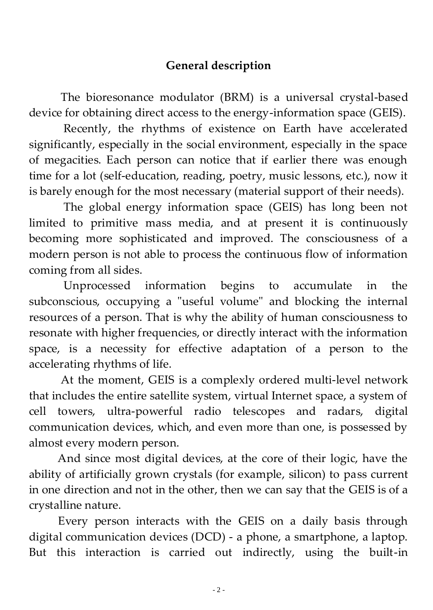## **General description**

 The bioresonance modulator (BRM) is a universal crystal-based device for obtaining direct access to the energy-information space (GEIS).

 Recently, the rhythms of existence on Earth have accelerated significantly, especially in the social environment, especially in the space of megacities. Each person can notice that if earlier there was enough time for a lot (self-education, reading, poetry, music lessons, etc.), now it is barely enough for the most necessary (material support of their needs).

 The global energy information space (GEIS) has long been not limited to primitive mass media, and at present it is continuously becoming more sophisticated and improved. The consciousness of a modern person is not able to process the continuous flow of information coming from all sides.

 Unprocessed information begins to accumulate in the subconscious, occupying a "useful volume" and blocking the internal resources of a person. That is why the ability of human consciousness to resonate with higher frequencies, or directly interact with the information space, is a necessity for effective adaptation of a person to the accelerating rhythms of life.

 At the moment, GEIS is a complexly ordered multi-level network that includes the entire satellite system, virtual Internet space, a system of cell towers, ultra-powerful radio telescopes and radars, digital communication devices, which, and even more than one, is possessed by almost every modern person.

 And since most digital devices, at the core of their logic, have the ability of artificially grown crystals (for example, silicon) to pass current in one direction and not in the other, then we can say that the GEIS is of a crystalline nature.

 Every person interacts with the GEIS on a daily basis through digital communication devices (DCD) - a phone, a smartphone, a laptop. But this interaction is carried out indirectly, using the built-in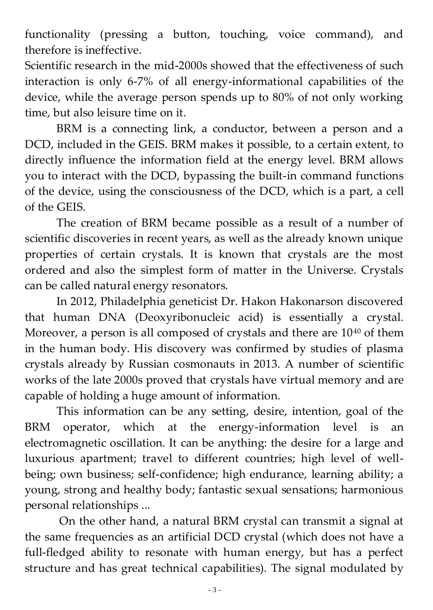functionality (pressing a button, touching, voice command), and therefore is ineffective.

Scientific research in the mid-2000s showed that the effectiveness of such interaction is only 6-7% of all energy-informational capabilities of the device, while the average person spends up to 80% of not only working time, but also leisure time on it.

 BRM is a connecting link, a conductor, between a person and a DCD, included in the GEIS. BRM makes it possible, to a certain extent, to directly influence the information field at the energy level. BRM allows you to interact with the DCD, bypassing the built-in command functions of the device, using the consciousness of the DCD, which is a part, a cell of the GEIS.

 The creation of BRM became possible as a result of a number of scientific discoveries in recent years, as well as the already known unique properties of certain crystals. It is known that crystals are the most ordered and also the simplest form of matter in the Universe. Crystals can be called natural energy resonators.

 In 2012, Philadelphia geneticist Dr. Hakon Hakonarson discovered that human DNA (Deoxyribonucleic acid) is essentially a crystal. Moreover, a person is all composed of crystals and there are 10<sup>40</sup> of them in the human body. His discovery was confirmed by studies of plasma crystals already by Russian cosmonauts in 2013. A number of scientific works of the late 2000s proved that crystals have virtual memory and are capable of holding a huge amount of information.

 This information can be any setting, desire, intention, goal of the BRM operator, which at the energy-information level is an electromagnetic oscillation. It can be anything: the desire for a large and luxurious apartment; travel to different countries; high level of wellbeing; own business; self-confidence; high endurance, learning ability; a young, strong and healthy body; fantastic sexual sensations; harmonious personal relationships ...

 On the other hand, a natural BRM crystal can transmit a signal at the same frequencies as an artificial DCD crystal (which does not have a full-fledged ability to resonate with human energy, but has a perfect structure and has great technical capabilities). The signal modulated by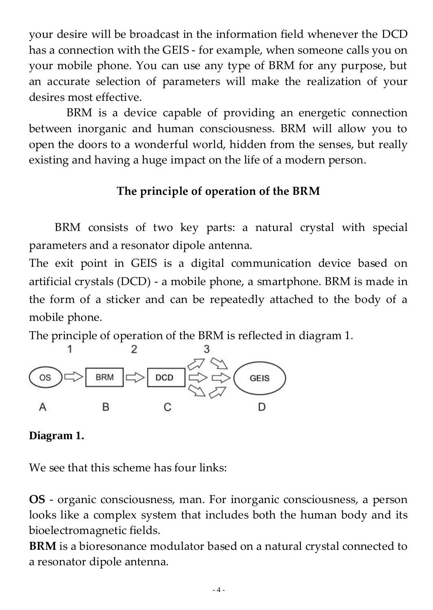your desire will be broadcast in the information field whenever the DCD has a connection with the GEIS - for example, when someone calls you on your mobile phone. You can use any type of BRM for any purpose, but an accurate selection of parameters will make the realization of your desires most effective.

 BRM is a device capable of providing an energetic connection between inorganic and human consciousness. BRM will allow you to open the doors to a wonderful world, hidden from the senses, but really existing and having a huge impact on the life of a modern person.

# **The principle of operation of the BRM**

 BRM consists of two key parts: a natural crystal with special parameters and a resonator dipole antenna.

The exit point in GEIS is a digital communication device based on artificial crystals (DCD) - a mobile phone, a smartphone. BRM is made in the form of a sticker and can be repeatedly attached to the body of a mobile phone.

The principle of operation of the BRM is reflected in diagram 1.



#### **Diagram 1.**

We see that this scheme has four links:

**OS** - organic consciousness, man. For inorganic consciousness, a person looks like a complex system that includes both the human body and its bioelectromagnetic fields.

**BRM** is a bioresonance modulator based on a natural crystal connected to a resonator dipole antenna.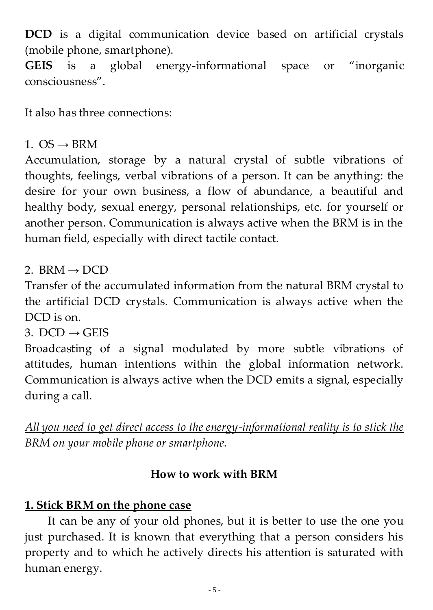**DCD** is a digital communication device based on artificial crystals (mobile phone, smartphone).

**GEIS** is a global energy-informational space or "inorganic consciousness".

It also has three connections:

# 1.  $OS \rightarrow \text{RRM}$

Accumulation, storage by a natural crystal of subtle vibrations of thoughts, feelings, verbal vibrations of a person. It can be anything: the desire for your own business, a flow of abundance, a beautiful and healthy body, sexual energy, personal relationships, etc. for yourself or another person. Communication is always active when the BRM is in the human field, especially with direct tactile contact.

## 2. BRM  $\rightarrow$  DCD

Transfer of the accumulated information from the natural BRM crystal to the artificial DCD crystals. Communication is always active when the DCD is on.

3. DCD  $\rightarrow$  GEIS

Broadcasting of a signal modulated by more subtle vibrations of attitudes, human intentions within the global information network. Communication is always active when the DCD emits a signal, especially during a call.

*All you need to get direct access to the energy-informational reality is to stick the BRM on your mobile phone or smartphone.*

## **How to work with BRM**

# **1. Stick BRM on the phone case**

 It can be any of your old phones, but it is better to use the one you just purchased. It is known that everything that a person considers his property and to which he actively directs his attention is saturated with human energy.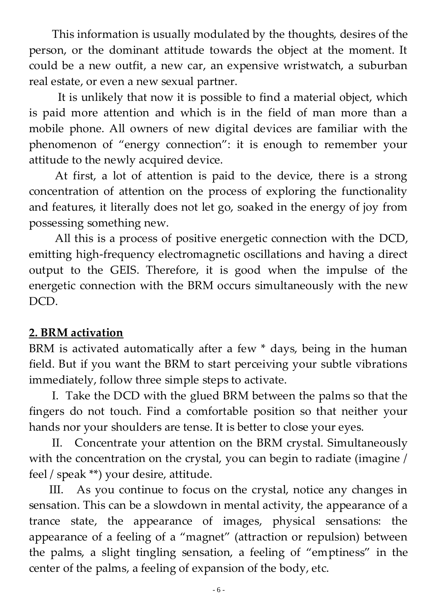This information is usually modulated by the thoughts, desires of the person, or the dominant attitude towards the object at the moment. It could be a new outfit, a new car, an expensive wristwatch, a suburban real estate, or even a new sexual partner.

 It is unlikely that now it is possible to find a material object, which is paid more attention and which is in the field of man more than a mobile phone. All owners of new digital devices are familiar with the phenomenon of "energy connection": it is enough to remember your attitude to the newly acquired device.

 At first, a lot of attention is paid to the device, there is a strong concentration of attention on the process of exploring the functionality and features, it literally does not let go, soaked in the energy of joy from possessing something new.

 All this is a process of positive energetic connection with the DCD, emitting high-frequency electromagnetic oscillations and having a direct output to the GEIS. Therefore, it is good when the impulse of the energetic connection with the BRM occurs simultaneously with the new DCD.

# **2. BRM activation**

BRM is activated automatically after a few \* days, being in the human field. But if you want the BRM to start perceiving your subtle vibrations immediately, follow three simple steps to activate.

 I. Take the DCD with the glued BRM between the palms so that the fingers do not touch. Find a comfortable position so that neither your hands nor your shoulders are tense. It is better to close your eyes.

 II. Concentrate your attention on the BRM crystal. Simultaneously with the concentration on the crystal, you can begin to radiate (imagine / feel / speak \*\*) your desire, attitude.

 III. As you continue to focus on the crystal, notice any changes in sensation. This can be a slowdown in mental activity, the appearance of a trance state, the appearance of images, physical sensations: the appearance of a feeling of a "magnet" (attraction or repulsion) between the palms, a slight tingling sensation, a feeling of "emptiness" in the center of the palms, a feeling of expansion of the body, etc.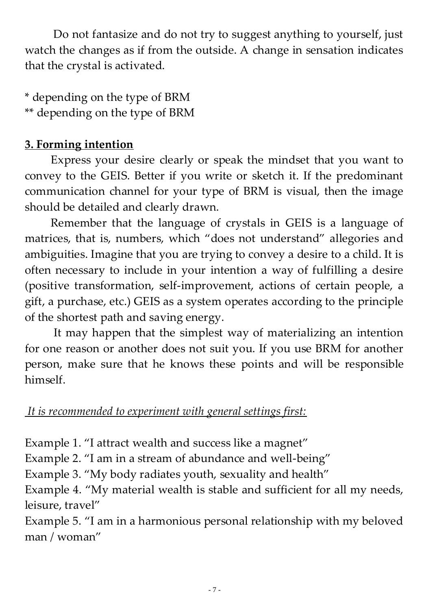Do not fantasize and do not try to suggest anything to yourself, just watch the changes as if from the outside. A change in sensation indicates that the crystal is activated.

\* depending on the type of BRM \*\* depending on the type of BRM

# **3. Forming intention**

 Express your desire clearly or speak the mindset that you want to convey to the GEIS. Better if you write or sketch it. If the predominant communication channel for your type of BRM is visual, then the image should be detailed and clearly drawn.

 Remember that the language of crystals in GEIS is a language of matrices, that is, numbers, which "does not understand" allegories and ambiguities. Imagine that you are trying to convey a desire to a child. It is often necessary to include in your intention a way of fulfilling a desire (positive transformation, self-improvement, actions of certain people, a gift, a purchase, etc.) GEIS as a system operates according to the principle of the shortest path and saving energy.

 It may happen that the simplest way of materializing an intention for one reason or another does not suit you. If you use BRM for another person, make sure that he knows these points and will be responsible himself.

#### *It is recommended to experiment with general settings first:*

Example 1. "I attract wealth and success like a magnet"

Example 2. "I am in a stream of abundance and well-being"

Example 3. "My body radiates youth, sexuality and health"

Example 4. "My material wealth is stable and sufficient for all my needs, leisure, travel"

Example 5. "I am in a harmonious personal relationship with my beloved man / woman"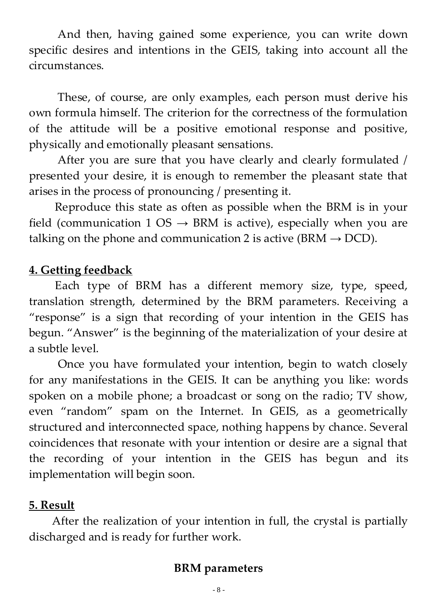And then, having gained some experience, you can write down specific desires and intentions in the GEIS, taking into account all the circumstances.

 These, of course, are only examples, each person must derive his own formula himself. The criterion for the correctness of the formulation of the attitude will be a positive emotional response and positive, physically and emotionally pleasant sensations.

 After you are sure that you have clearly and clearly formulated / presented your desire, it is enough to remember the pleasant state that arises in the process of pronouncing / presenting it.

 Reproduce this state as often as possible when the BRM is in your field (communication 1 OS  $\rightarrow$  BRM is active), especially when you are talking on the phone and communication 2 is active ( $BRM \rightarrow DCD$ ).

#### **4. Getting feedback**

 Each type of BRM has a different memory size, type, speed, translation strength, determined by the BRM parameters. Receiving a "response" is a sign that recording of your intention in the GEIS has begun. "Answer" is the beginning of the materialization of your desire at a subtle level.

 Once you have formulated your intention, begin to watch closely for any manifestations in the GEIS. It can be anything you like: words spoken on a mobile phone; a broadcast or song on the radio; TV show, even "random" spam on the Internet. In GEIS, as a geometrically structured and interconnected space, nothing happens by chance. Several coincidences that resonate with your intention or desire are a signal that the recording of your intention in the GEIS has begun and its implementation will begin soon.

#### **5. Result**

 After the realization of your intention in full, the crystal is partially discharged and is ready for further work.

## **BRM parameters**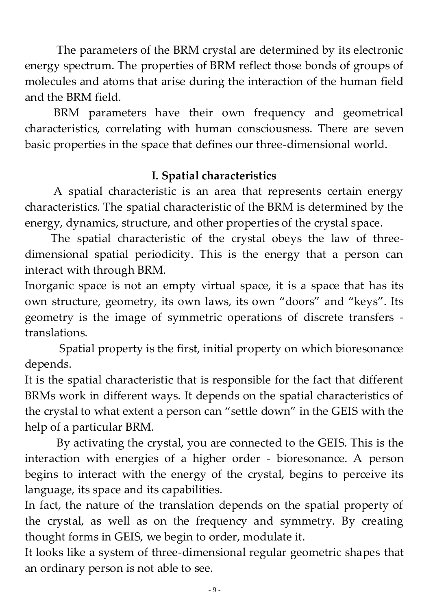The parameters of the BRM crystal are determined by its electronic energy spectrum. The properties of BRM reflect those bonds of groups of molecules and atoms that arise during the interaction of the human field and the BRM field.

 BRM parameters have their own frequency and geometrical characteristics, correlating with human consciousness. There are seven basic properties in the space that defines our three-dimensional world.

# **I. Spatial characteristics**

 A spatial characteristic is an area that represents certain energy characteristics. The spatial characteristic of the BRM is determined by the energy, dynamics, structure, and other properties of the crystal space.

 The spatial characteristic of the crystal obeys the law of threedimensional spatial periodicity. This is the energy that a person can interact with through BRM.

Inorganic space is not an empty virtual space, it is a space that has its own structure, geometry, its own laws, its own "doors" and "keys". Its geometry is the image of symmetric operations of discrete transfers translations.

 Spatial property is the first, initial property on which bioresonance depends.

It is the spatial characteristic that is responsible for the fact that different BRMs work in different ways. It depends on the spatial characteristics of the crystal to what extent a person can "settle down" in the GEIS with the help of a particular BRM.

 By activating the crystal, you are connected to the GEIS. This is the interaction with energies of a higher order - bioresonance. A person begins to interact with the energy of the crystal, begins to perceive its language, its space and its capabilities.

In fact, the nature of the translation depends on the spatial property of the crystal, as well as on the frequency and symmetry. By creating thought forms in GEIS, we begin to order, modulate it.

It looks like a system of three-dimensional regular geometric shapes that an ordinary person is not able to see.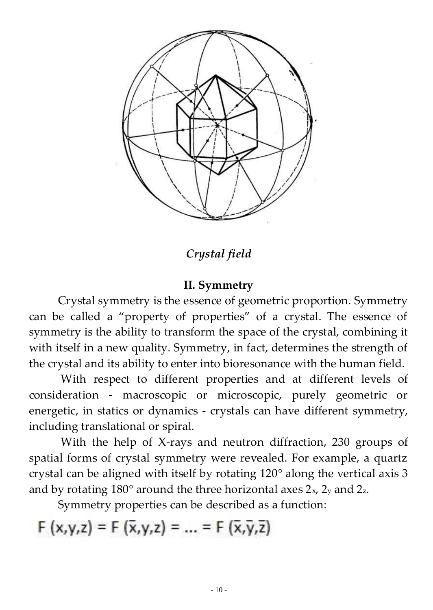

*Crystal field*

## **II. Symmetry**

 Crystal symmetry is the essence of geometric proportion. Symmetry can be called a "property of properties" of a crystal. The essence of symmetry is the ability to transform the space of the crystal, combining it with itself in a new quality. Symmetry, in fact, determines the strength of the crystal and its ability to enter into bioresonance with the human field.

 With respect to different properties and at different levels of consideration - macroscopic or microscopic, purely geometric or energetic, in statics or dynamics - crystals can have different symmetry, including translational or spiral.

 With the help of X-rays and neutron diffraction, 230 groups of spatial forms of crystal symmetry were revealed. For example, a quartz crystal can be aligned with itself by rotating 120° along the vertical axis 3 and by rotating  $180^\circ$  around the three horizontal axes  $2_x$ ,  $2_y$  and  $2_z$ .

Symmetry properties can be described as a function:

 $F(x,y,z) = F(\bar{x},y,z) = ... = F(\bar{x}, \bar{y}, \bar{z})$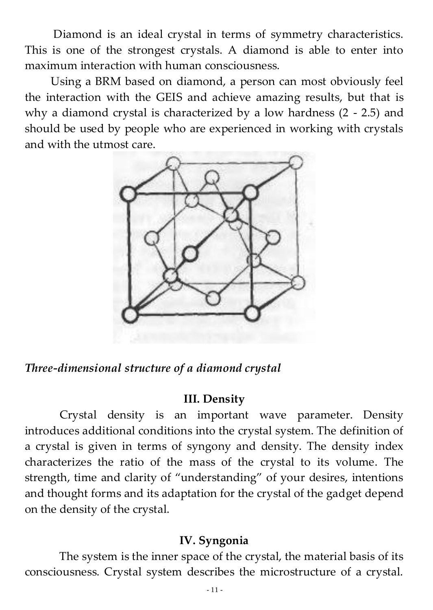Diamond is an ideal crystal in terms of symmetry characteristics. This is one of the strongest crystals. A diamond is able to enter into maximum interaction with human consciousness.

 Using a BRM based on diamond, a person can most obviously feel the interaction with the GEIS and achieve amazing results, but that is why a diamond crystal is characterized by a low hardness (2 - 2.5) and should be used by people who are experienced in working with crystals and with the utmost care.



*Three-dimensional structure of a diamond crystal*

#### **III. Density**

 Crystal density is an important wave parameter. Density introduces additional conditions into the crystal system. The definition of a crystal is given in terms of syngony and density. The density index characterizes the ratio of the mass of the crystal to its volume. The strength, time and clarity of "understanding" of your desires, intentions and thought forms and its adaptation for the crystal of the gadget depend on the density of the crystal.

# **IV. Syngonia**

 The system is the inner space of the crystal, the material basis of its consciousness. Crystal system describes the microstructure of a crystal.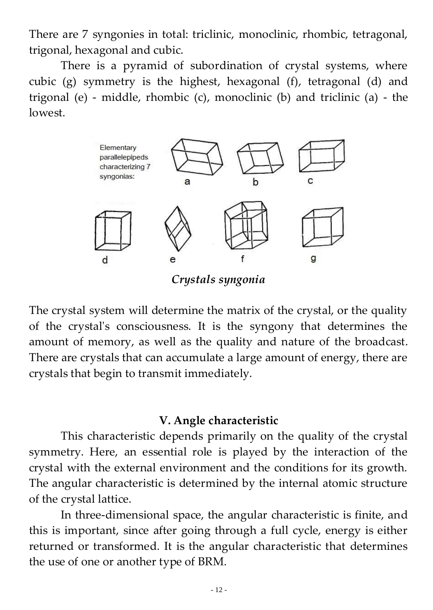There are 7 syngonies in total: triclinic, monoclinic, rhombic, tetragonal, trigonal, hexagonal and cubic.

 There is a pyramid of subordination of crystal systems, where cubic (g) symmetry is the highest, hexagonal (f), tetragonal (d) and trigonal (e) - middle, rhombic (c), monoclinic (b) and triclinic (a) - the lowest.



*Crystals syngonia*

The crystal system will determine the matrix of the crystal, or the quality of the crystal's consciousness. It is the syngony that determines the amount of memory, as well as the quality and nature of the broadcast. There are crystals that can accumulate a large amount of energy, there are crystals that begin to transmit immediately.

#### **V. Angle characteristic**

 This characteristic depends primarily on the quality of the crystal symmetry. Here, an essential role is played by the interaction of the crystal with the external environment and the conditions for its growth. The angular characteristic is determined by the internal atomic structure of the crystal lattice.

 In three-dimensional space, the angular characteristic is finite, and this is important, since after going through a full cycle, energy is either returned or transformed. It is the angular characteristic that determines the use of one or another type of BRM.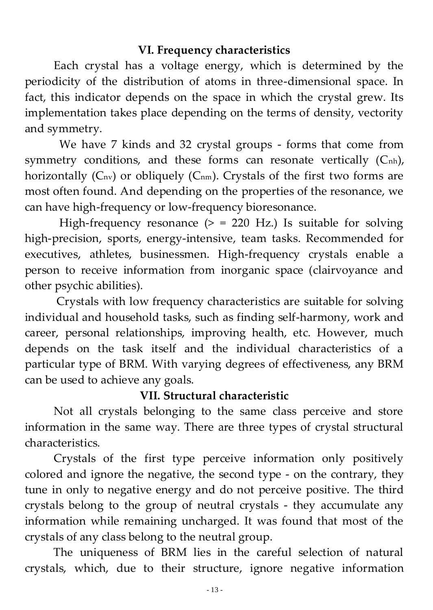## **VI. Frequency characteristics**

 Each crystal has a voltage energy, which is determined by the periodicity of the distribution of atoms in three-dimensional space. In fact, this indicator depends on the space in which the crystal grew. Its implementation takes place depending on the terms of density, vectority and symmetry.

 We have 7 kinds and 32 crystal groups - forms that come from symmetry conditions, and these forms can resonate vertically (C<sub>nh</sub>), horizontally  $(C_{nv})$  or obliquely  $(C_{nm})$ . Crystals of the first two forms are most often found. And depending on the properties of the resonance, we can have high-frequency or low-frequency bioresonance.

High-frequency resonance  $(>= 220$  Hz.) Is suitable for solving high-precision, sports, energy-intensive, team tasks. Recommended for executives, athletes, businessmen. High-frequency crystals enable a person to receive information from inorganic space (clairvoyance and other psychic abilities).

 Crystals with low frequency characteristics are suitable for solving individual and household tasks, such as finding self-harmony, work and career, personal relationships, improving health, etc. However, much depends on the task itself and the individual characteristics of a particular type of BRM. With varying degrees of effectiveness, any BRM can be used to achieve any goals.

# **VII. Structural characteristic**

 Not all crystals belonging to the same class perceive and store information in the same way. There are three types of crystal structural characteristics.

 Crystals of the first type perceive information only positively colored and ignore the negative, the second type - on the contrary, they tune in only to negative energy and do not perceive positive. The third crystals belong to the group of neutral crystals - they accumulate any information while remaining uncharged. It was found that most of the crystals of any class belong to the neutral group.

 The uniqueness of BRM lies in the careful selection of natural crystals, which, due to their structure, ignore negative information